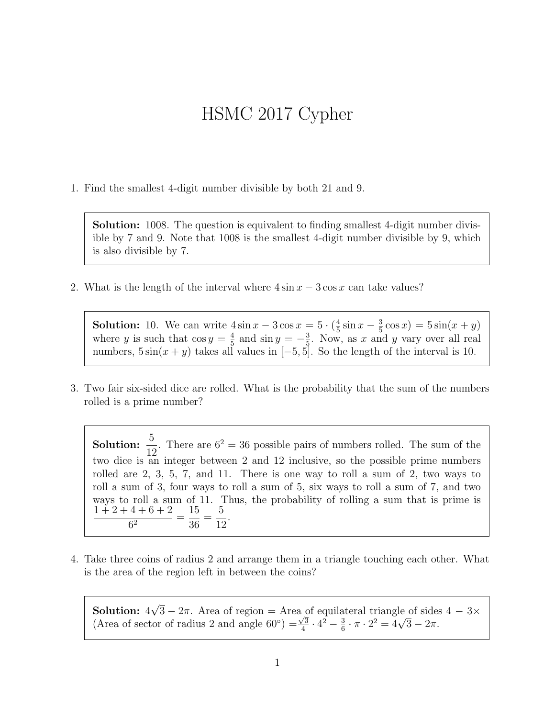## HSMC 2017 Cypher

1. Find the smallest 4-digit number divisible by both 21 and 9.

Solution: 1008. The question is equivalent to finding smallest 4-digit number divisible by 7 and 9. Note that 1008 is the smallest 4-digit number divisible by 9, which is also divisible by 7.

2. What is the length of the interval where  $4 \sin x - 3 \cos x$  can take values?

**Solution:** 10. We can write  $4 \sin x - 3 \cos x = 5 \cdot (\frac{4}{5})$  $\frac{4}{5}\sin x - \frac{3}{5}$  $\frac{3}{5}\cos x$  =  $5\sin(x+y)$ where y is such that  $\cos y = \frac{4}{5}$  $\frac{4}{5}$  and  $\sin y = -\frac{3}{5}$  $\frac{3}{5}$ . Now, as x and y vary over all real numbers,  $5\sin(x+y)$  takes all values in  $[-5,5]$ . So the length of the interval is 10.

3. Two fair six-sided dice are rolled. What is the probability that the sum of the numbers rolled is a prime number?

Solution:  $\frac{5}{16}$ 12 . There are  $6^2 = 36$  possible pairs of numbers rolled. The sum of the two dice is an integer between 2 and 12 inclusive, so the possible prime numbers rolled are 2, 3, 5, 7, and 11. There is one way to roll a sum of 2, two ways to roll a sum of 3, four ways to roll a sum of 5, six ways to roll a sum of 7, and two ways to roll a sum of 11. Thus, the probability of rolling a sum that is prime is  $1 + 2 + 4 + 6 + 2$  $\frac{1+8+2}{6^2}$  = 15 36 = 5 12 .

4. Take three coins of radius 2 and arrange them in a triangle touching each other. What is the area of the region left in between the coins?

Solution: 4 √  $3 - 2\pi$ . Area of region = Area of equilateral triangle of sides  $4 - 3\times$ (Area of sector of radius 2 and angle 60<sup>°</sup>) =  $\frac{\sqrt{3}}{4}$  $\frac{\sqrt{3}}{4} \cdot 4^2 - \frac{3}{6}$  $\frac{3}{6} \cdot \pi \cdot 2^2 = 4\sqrt{3} - 2\pi.$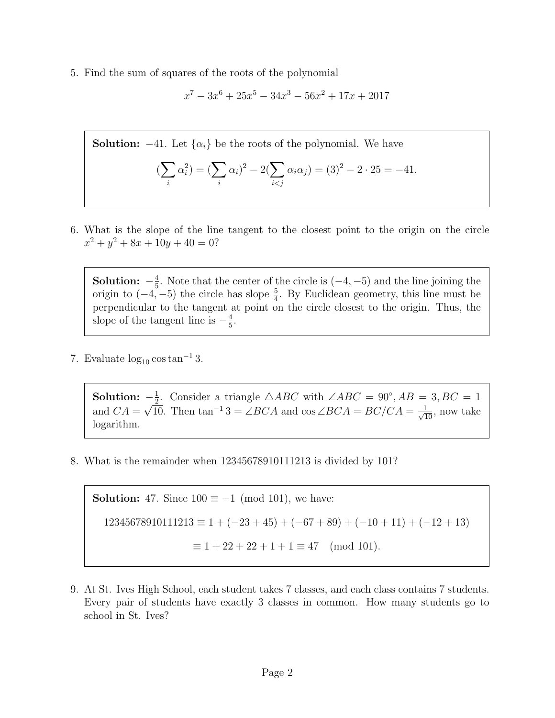5. Find the sum of squares of the roots of the polynomial

$$
x^7 - 3x^6 + 25x^5 - 34x^3 - 56x^2 + 17x + 2017
$$

**Solution:**  $-41$ . Let  $\{\alpha_i\}$  be the roots of the polynomial. We have

$$
(\sum_{i} \alpha_i^2) = (\sum_{i} \alpha_i)^2 - 2(\sum_{i < j} \alpha_i \alpha_j) = (3)^2 - 2 \cdot 25 = -41.
$$

6. What is the slope of the line tangent to the closest point to the origin on the circle  $x^2 + y^2 + 8x + 10y + 40 = 0$ ?

Solution:  $-\frac{4}{5}$  $\frac{4}{5}$ . Note that the center of the circle is  $(-4, -5)$  and the line joining the origin to  $(-4, -5)$  the circle has slope  $\frac{5}{4}$ . By Euclidean geometry, this line must be perpendicular to the tangent at point on the circle closest to the origin. Thus, the slope of the tangent line is  $-\frac{4}{5}$  $\frac{4}{5}$ .

7. Evaluate  $\log_{10} \cos \tan^{-1} 3$ .

Solution:  $-\frac{1}{2}$  $\frac{1}{2}$ . Consider a triangle △ABC with ∠ABC = 90°, AB = 3, BC = 1 and  $CA =$  $\frac{-\frac{3}{2}}{\sqrt{10}}$ . Then tan<sup>-1</sup> 3 = ∠*BCA* and cos ∠*BCA* = *BC*/*CA* =  $\frac{1}{\sqrt{10}}$ , now take logarithm.

8. What is the remainder when 12345678910111213 is divided by 101?

**Solution:** 47. Since  $100 \equiv -1 \pmod{101}$ , we have:  $12345678910111213 \equiv 1 + (-23 + 45) + (-67 + 89) + (-10 + 11) + (-12 + 13)$  $\equiv 1 + 22 + 22 + 1 + 1 \equiv 47 \pmod{101}.$ 

9. At St. Ives High School, each student takes 7 classes, and each class contains 7 students. Every pair of students have exactly 3 classes in common. How many students go to school in St. Ives?